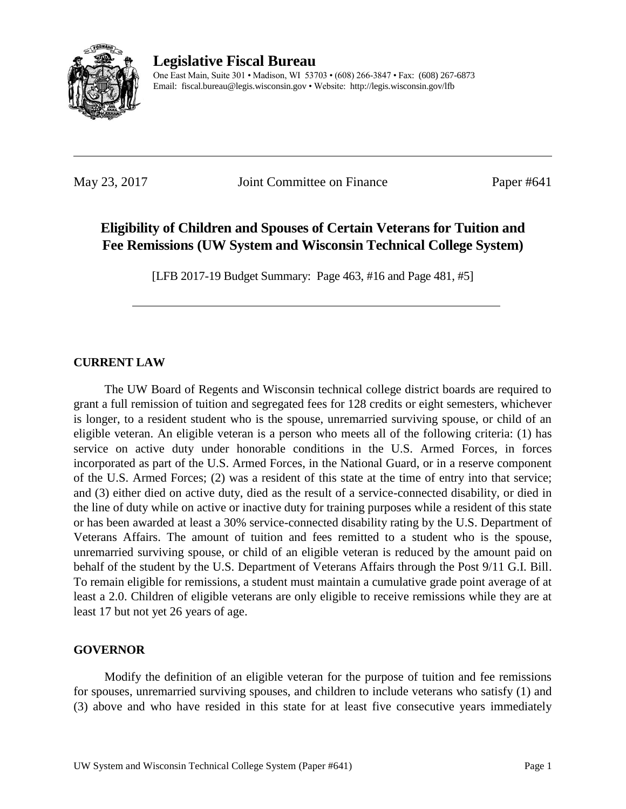

**Legislative Fiscal Bureau** One East Main, Suite 301 • Madison, WI 53703 • (608) 266-3847 • Fax: (608) 267-6873 Email: fiscal.bureau@legis.wisconsin.gov • Website:<http://legis.wisconsin.gov/lfb>

May 23, 2017 **Joint Committee on Finance** Paper #641

# **Eligibility of Children and Spouses of Certain Veterans for Tuition and Fee Remissions (UW System and Wisconsin Technical College System)**

[LFB 2017-19 Budget Summary: Page 463, #16 and Page 481, #5]

# **CURRENT LAW**

The UW Board of Regents and Wisconsin technical college district boards are required to grant a full remission of tuition and segregated fees for 128 credits or eight semesters, whichever is longer, to a resident student who is the spouse, unremarried surviving spouse, or child of an eligible veteran. An eligible veteran is a person who meets all of the following criteria: (1) has service on active duty under honorable conditions in the U.S. Armed Forces, in forces incorporated as part of the U.S. Armed Forces, in the National Guard, or in a reserve component of the U.S. Armed Forces; (2) was a resident of this state at the time of entry into that service; and (3) either died on active duty, died as the result of a service-connected disability, or died in the line of duty while on active or inactive duty for training purposes while a resident of this state or has been awarded at least a 30% service-connected disability rating by the U.S. Department of Veterans Affairs. The amount of tuition and fees remitted to a student who is the spouse, unremarried surviving spouse, or child of an eligible veteran is reduced by the amount paid on behalf of the student by the U.S. Department of Veterans Affairs through the Post 9/11 G.I. Bill. To remain eligible for remissions, a student must maintain a cumulative grade point average of at least a 2.0. Children of eligible veterans are only eligible to receive remissions while they are at least 17 but not yet 26 years of age.

## **GOVERNOR**

Modify the definition of an eligible veteran for the purpose of tuition and fee remissions for spouses, unremarried surviving spouses, and children to include veterans who satisfy (1) and (3) above and who have resided in this state for at least five consecutive years immediately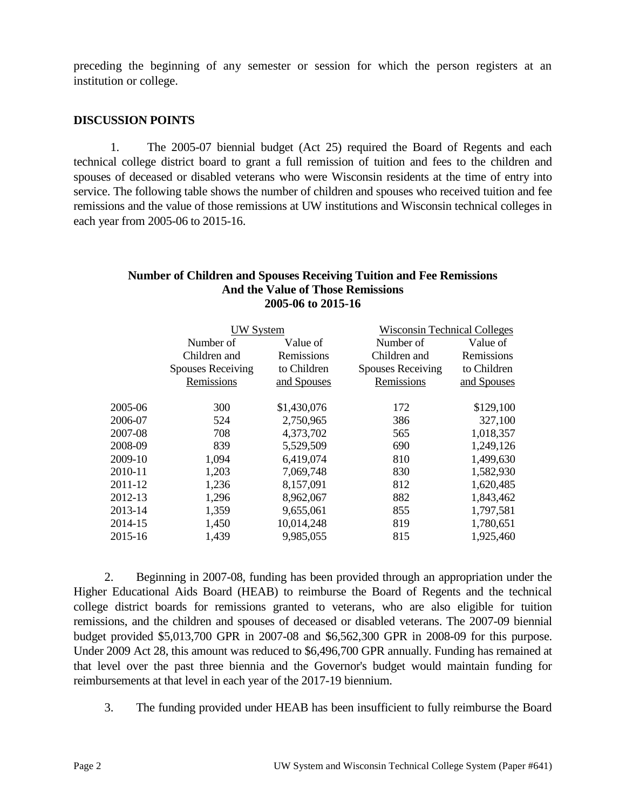preceding the beginning of any semester or session for which the person registers at an institution or college.

#### **DISCUSSION POINTS**

1. The 2005-07 biennial budget (Act 25) required the Board of Regents and each technical college district board to grant a full remission of tuition and fees to the children and spouses of deceased or disabled veterans who were Wisconsin residents at the time of entry into service. The following table shows the number of children and spouses who received tuition and fee remissions and the value of those remissions at UW institutions and Wisconsin technical colleges in each year from 2005-06 to 2015-16.

#### **Number of Children and Spouses Receiving Tuition and Fee Remissions And the Value of Those Remissions 2005-06 to 2015-16**

|         | <b>W</b> System          |             | <b>Wisconsin Technical Colleges</b> |             |
|---------|--------------------------|-------------|-------------------------------------|-------------|
|         | Number of                | Value of    | Number of                           | Value of    |
|         | Children and             | Remissions  | Children and                        | Remissions  |
|         | <b>Spouses Receiving</b> | to Children | <b>Spouses Receiving</b>            | to Children |
|         | Remissions               | and Spouses | Remissions                          | and Spouses |
| 2005-06 | 300                      | \$1,430,076 | 172                                 | \$129,100   |
| 2006-07 | 524                      | 2,750,965   | 386                                 | 327,100     |
| 2007-08 | 708                      | 4,373,702   | 565                                 | 1,018,357   |
| 2008-09 | 839                      | 5,529,509   | 690                                 | 1,249,126   |
| 2009-10 | 1,094                    | 6,419,074   | 810                                 | 1,499,630   |
| 2010-11 | 1,203                    | 7,069,748   | 830                                 | 1,582,930   |
| 2011-12 | 1,236                    | 8,157,091   | 812                                 | 1,620,485   |
| 2012-13 | 1,296                    | 8,962,067   | 882                                 | 1,843,462   |
| 2013-14 | 1,359                    | 9,655,061   | 855                                 | 1,797,581   |
| 2014-15 | 1,450                    | 10,014,248  | 819                                 | 1,780,651   |
| 2015-16 | 1,439                    | 9,985,055   | 815                                 | 1,925,460   |
|         |                          |             |                                     |             |

2. Beginning in 2007-08, funding has been provided through an appropriation under the Higher Educational Aids Board (HEAB) to reimburse the Board of Regents and the technical college district boards for remissions granted to veterans, who are also eligible for tuition remissions, and the children and spouses of deceased or disabled veterans. The 2007-09 biennial budget provided \$5,013,700 GPR in 2007-08 and \$6,562,300 GPR in 2008-09 for this purpose. Under 2009 Act 28, this amount was reduced to \$6,496,700 GPR annually. Funding has remained at that level over the past three biennia and the Governor's budget would maintain funding for reimbursements at that level in each year of the 2017-19 biennium.

3. The funding provided under HEAB has been insufficient to fully reimburse the Board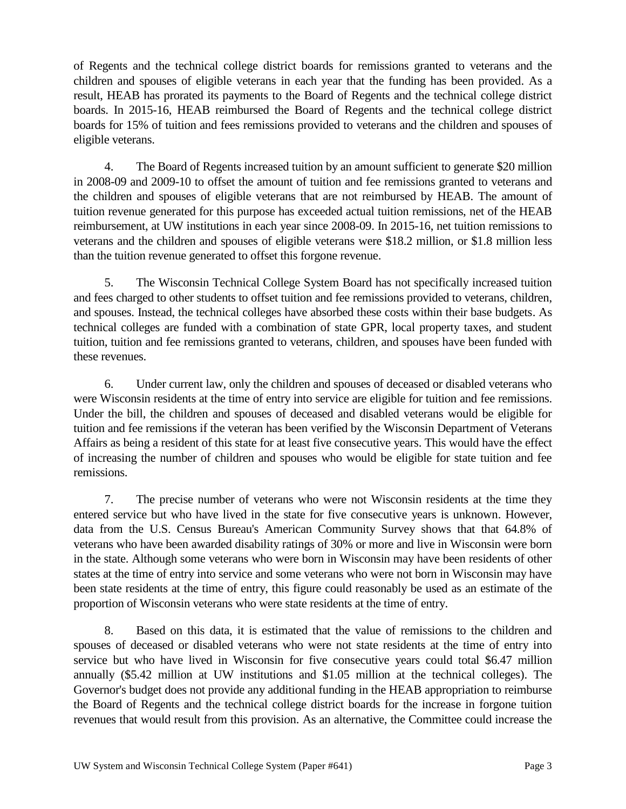of Regents and the technical college district boards for remissions granted to veterans and the children and spouses of eligible veterans in each year that the funding has been provided. As a result, HEAB has prorated its payments to the Board of Regents and the technical college district boards. In 2015-16, HEAB reimbursed the Board of Regents and the technical college district boards for 15% of tuition and fees remissions provided to veterans and the children and spouses of eligible veterans.

4. The Board of Regents increased tuition by an amount sufficient to generate \$20 million in 2008-09 and 2009-10 to offset the amount of tuition and fee remissions granted to veterans and the children and spouses of eligible veterans that are not reimbursed by HEAB. The amount of tuition revenue generated for this purpose has exceeded actual tuition remissions, net of the HEAB reimbursement, at UW institutions in each year since 2008-09. In 2015-16, net tuition remissions to veterans and the children and spouses of eligible veterans were \$18.2 million, or \$1.8 million less than the tuition revenue generated to offset this forgone revenue.

5. The Wisconsin Technical College System Board has not specifically increased tuition and fees charged to other students to offset tuition and fee remissions provided to veterans, children, and spouses. Instead, the technical colleges have absorbed these costs within their base budgets. As technical colleges are funded with a combination of state GPR, local property taxes, and student tuition, tuition and fee remissions granted to veterans, children, and spouses have been funded with these revenues.

6. Under current law, only the children and spouses of deceased or disabled veterans who were Wisconsin residents at the time of entry into service are eligible for tuition and fee remissions. Under the bill, the children and spouses of deceased and disabled veterans would be eligible for tuition and fee remissions if the veteran has been verified by the Wisconsin Department of Veterans Affairs as being a resident of this state for at least five consecutive years. This would have the effect of increasing the number of children and spouses who would be eligible for state tuition and fee remissions.

7. The precise number of veterans who were not Wisconsin residents at the time they entered service but who have lived in the state for five consecutive years is unknown. However, data from the U.S. Census Bureau's American Community Survey shows that that 64.8% of veterans who have been awarded disability ratings of 30% or more and live in Wisconsin were born in the state. Although some veterans who were born in Wisconsin may have been residents of other states at the time of entry into service and some veterans who were not born in Wisconsin may have been state residents at the time of entry, this figure could reasonably be used as an estimate of the proportion of Wisconsin veterans who were state residents at the time of entry.

8. Based on this data, it is estimated that the value of remissions to the children and spouses of deceased or disabled veterans who were not state residents at the time of entry into service but who have lived in Wisconsin for five consecutive years could total \$6.47 million annually (\$5.42 million at UW institutions and \$1.05 million at the technical colleges). The Governor's budget does not provide any additional funding in the HEAB appropriation to reimburse the Board of Regents and the technical college district boards for the increase in forgone tuition revenues that would result from this provision. As an alternative, the Committee could increase the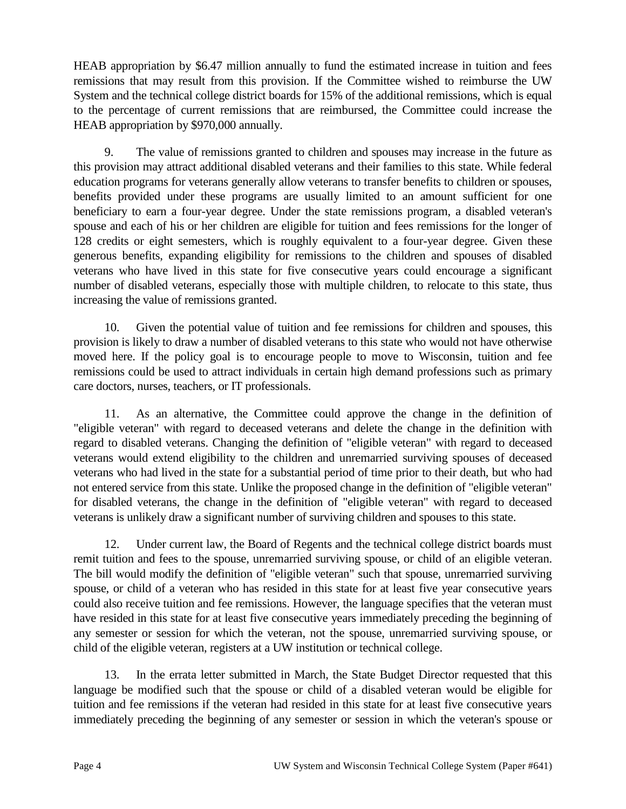HEAB appropriation by \$6.47 million annually to fund the estimated increase in tuition and fees remissions that may result from this provision. If the Committee wished to reimburse the UW System and the technical college district boards for 15% of the additional remissions, which is equal to the percentage of current remissions that are reimbursed, the Committee could increase the HEAB appropriation by \$970,000 annually.

9. The value of remissions granted to children and spouses may increase in the future as this provision may attract additional disabled veterans and their families to this state. While federal education programs for veterans generally allow veterans to transfer benefits to children or spouses, benefits provided under these programs are usually limited to an amount sufficient for one beneficiary to earn a four-year degree. Under the state remissions program, a disabled veteran's spouse and each of his or her children are eligible for tuition and fees remissions for the longer of 128 credits or eight semesters, which is roughly equivalent to a four-year degree. Given these generous benefits, expanding eligibility for remissions to the children and spouses of disabled veterans who have lived in this state for five consecutive years could encourage a significant number of disabled veterans, especially those with multiple children, to relocate to this state, thus increasing the value of remissions granted.

10. Given the potential value of tuition and fee remissions for children and spouses, this provision is likely to draw a number of disabled veterans to this state who would not have otherwise moved here. If the policy goal is to encourage people to move to Wisconsin, tuition and fee remissions could be used to attract individuals in certain high demand professions such as primary care doctors, nurses, teachers, or IT professionals.

11. As an alternative, the Committee could approve the change in the definition of "eligible veteran" with regard to deceased veterans and delete the change in the definition with regard to disabled veterans. Changing the definition of "eligible veteran" with regard to deceased veterans would extend eligibility to the children and unremarried surviving spouses of deceased veterans who had lived in the state for a substantial period of time prior to their death, but who had not entered service from this state. Unlike the proposed change in the definition of "eligible veteran" for disabled veterans, the change in the definition of "eligible veteran" with regard to deceased veterans is unlikely draw a significant number of surviving children and spouses to this state.

12. Under current law, the Board of Regents and the technical college district boards must remit tuition and fees to the spouse, unremarried surviving spouse, or child of an eligible veteran. The bill would modify the definition of "eligible veteran" such that spouse, unremarried surviving spouse, or child of a veteran who has resided in this state for at least five year consecutive years could also receive tuition and fee remissions. However, the language specifies that the veteran must have resided in this state for at least five consecutive years immediately preceding the beginning of any semester or session for which the veteran, not the spouse, unremarried surviving spouse, or child of the eligible veteran, registers at a UW institution or technical college.

13. In the errata letter submitted in March, the State Budget Director requested that this language be modified such that the spouse or child of a disabled veteran would be eligible for tuition and fee remissions if the veteran had resided in this state for at least five consecutive years immediately preceding the beginning of any semester or session in which the veteran's spouse or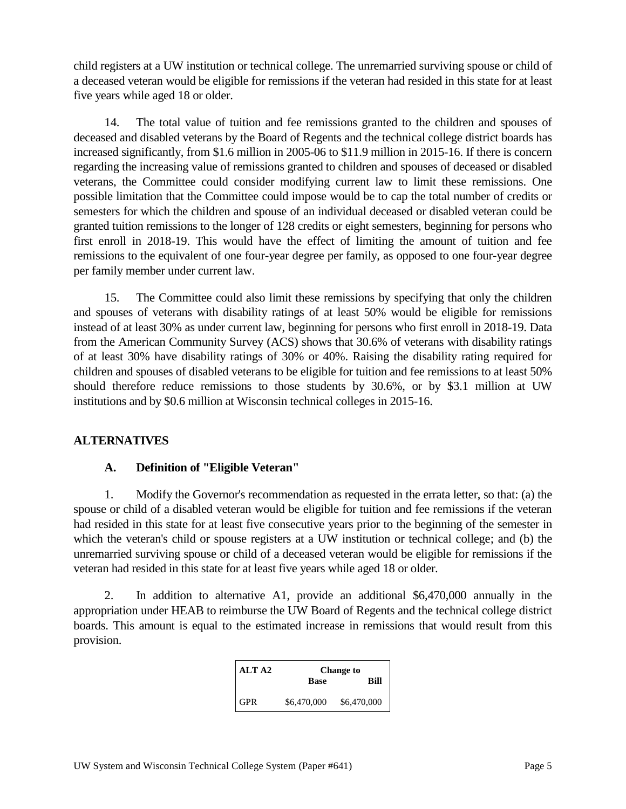child registers at a UW institution or technical college. The unremarried surviving spouse or child of a deceased veteran would be eligible for remissions if the veteran had resided in this state for at least five years while aged 18 or older.

14. The total value of tuition and fee remissions granted to the children and spouses of deceased and disabled veterans by the Board of Regents and the technical college district boards has increased significantly, from \$1.6 million in 2005-06 to \$11.9 million in 2015-16. If there is concern regarding the increasing value of remissions granted to children and spouses of deceased or disabled veterans, the Committee could consider modifying current law to limit these remissions. One possible limitation that the Committee could impose would be to cap the total number of credits or semesters for which the children and spouse of an individual deceased or disabled veteran could be granted tuition remissions to the longer of 128 credits or eight semesters, beginning for persons who first enroll in 2018-19. This would have the effect of limiting the amount of tuition and fee remissions to the equivalent of one four-year degree per family, as opposed to one four-year degree per family member under current law.

15. The Committee could also limit these remissions by specifying that only the children and spouses of veterans with disability ratings of at least 50% would be eligible for remissions instead of at least 30% as under current law, beginning for persons who first enroll in 2018-19. Data from the American Community Survey (ACS) shows that 30.6% of veterans with disability ratings of at least 30% have disability ratings of 30% or 40%. Raising the disability rating required for children and spouses of disabled veterans to be eligible for tuition and fee remissions to at least 50% should therefore reduce remissions to those students by 30.6%, or by \$3.1 million at UW institutions and by \$0.6 million at Wisconsin technical colleges in 2015-16.

## **ALTERNATIVES**

## **A. Definition of "Eligible Veteran"**

1. Modify the Governor's recommendation as requested in the errata letter, so that: (a) the spouse or child of a disabled veteran would be eligible for tuition and fee remissions if the veteran had resided in this state for at least five consecutive years prior to the beginning of the semester in which the veteran's child or spouse registers at a UW institution or technical college; and (b) the unremarried surviving spouse or child of a deceased veteran would be eligible for remissions if the veteran had resided in this state for at least five years while aged 18 or older.

2. In addition to alternative A1, provide an additional \$6,470,000 annually in the appropriation under HEAB to reimburse the UW Board of Regents and the technical college district boards. This amount is equal to the estimated increase in remissions that would result from this provision.

| ALT A2     | <b>Base</b> | <b>Change to</b><br>Rill |
|------------|-------------|--------------------------|
| <b>GPR</b> | \$6,470,000 | \$6,470,000              |